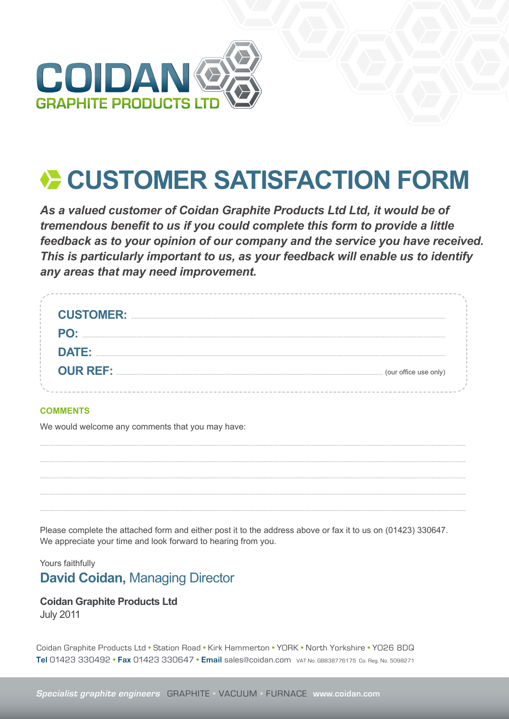

# CUSTOMER SATISFACTION FORM

As a valued customer of Coidan Graphite Products Ltd Ltd, it would be of tremendous benefit to us if you could complete this form to provide a little feedback as to your opinion of our company and the service you have received. This is particularly important to us, as your feedback will enable us to identify any areas that may need improvement.

| <b>CUSTOMER:</b>                         |  |
|------------------------------------------|--|
| PO:                                      |  |
| <b>DATE:</b>                             |  |
| <b>OUR REF:</b><br>(our office use only) |  |
|                                          |  |

### **COMMENTS**

We would welcome any comments that you may have:

Please complete the attached form and either post it to the address above or fax it to us on (01423) 330647. We appreciate your time and look forward to hearing from you.

## Yours faithfully **David Coidan, Managing Director**

## **Coidan Graphite Products Ltd**

**July 2011** 

Coidan Graphite Products Ltd · Station Road · Kirk Hammerton · YORK · North Yorkshire · YO26 8DQ Tel 01423 330492 • Fax 01423 330647 • Email sales@coidan.com VAT No. GB838776175 Co. Reg. No. 5098271